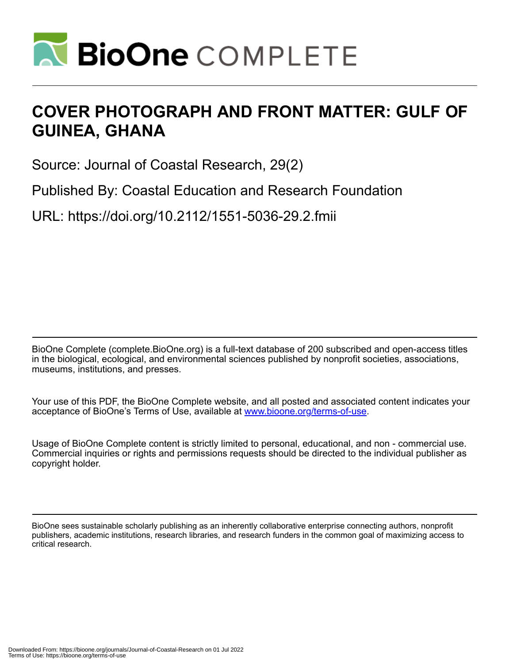

# **COVER PHOTOGRAPH AND FRONT MATTER: GULF OF GUINEA, GHANA**

Source: Journal of Coastal Research, 29(2)

Published By: Coastal Education and Research Foundation

URL: https://doi.org/10.2112/1551-5036-29.2.fmii

BioOne Complete (complete.BioOne.org) is a full-text database of 200 subscribed and open-access titles in the biological, ecological, and environmental sciences published by nonprofit societies, associations, museums, institutions, and presses.

Your use of this PDF, the BioOne Complete website, and all posted and associated content indicates your acceptance of BioOne's Terms of Use, available at www.bioone.org/terms-of-use.

Usage of BioOne Complete content is strictly limited to personal, educational, and non - commercial use. Commercial inquiries or rights and permissions requests should be directed to the individual publisher as copyright holder.

BioOne sees sustainable scholarly publishing as an inherently collaborative enterprise connecting authors, nonprofit publishers, academic institutions, research libraries, and research funders in the common goal of maximizing access to critical research.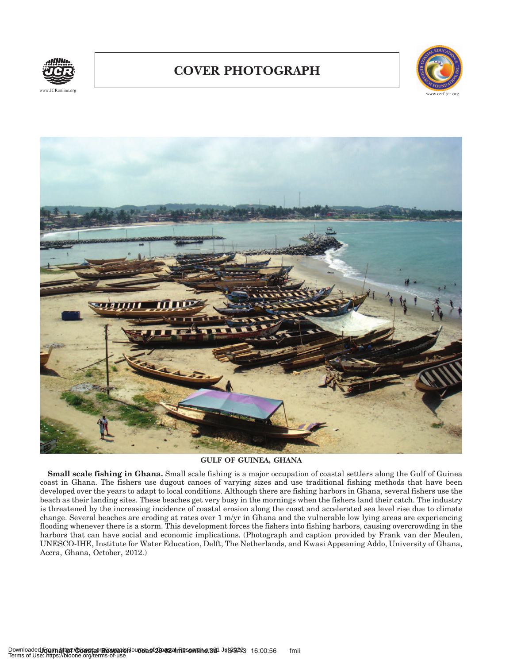

# COVER PHOTOGRAPH





### GULF OF GUINEA, GHANA

Small scale fishing in Ghana. Small scale fishing is a major occupation of coastal settlers along the Gulf of Guinea coast in Ghana. The fishers use dugout canoes of varying sizes and use traditional fishing methods that have been developed over the years to adapt to local conditions. Although there are fishing harbors in Ghana, several fishers use the beach as their landing sites. These beaches get very busy in the mornings when the fishers land their catch. The industry is threatened by the increasing incidence of coastal erosion along the coast and accelerated sea level rise due to climate change. Several beaches are eroding at rates over 1 m/yr in Ghana and the vulnerable low lying areas are experiencing flooding whenever there is a storm. This development forces the fishers into fishing harbors, causing overcrowding in the harbors that can have social and economic implications. (Photograph and caption provided by Frank van der Meulen, UNESCO-IHE, Institute for Water Education, Delft, The Netherlands, and Kwasi Appeaning Addo, University of Ghana, Accra, Ghana, October, 2012.)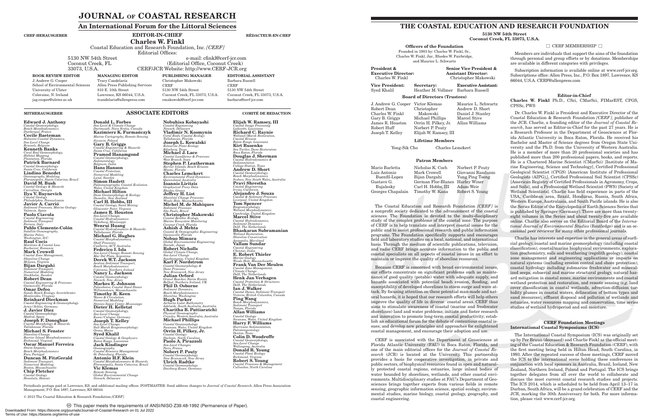# **JOURNAL OF COASTAL RESEARCH**

# **An International Forum for the Littoral Sciences**

# **CHEF-HERAUSGEBER EDITOR-IN-CHIEF RÉDACTEUR-EN-CHEF Charles W. Finkl**

Coastal Education and Research Foundation, Inc. *[CERF]* Editorial Offices:

5130 NW 54th Street e-mail: cfinkl@cerf-jcr.com Coconut Creek, FL<br>
33073, U.S.A.<br>
CERF/JCR Website: http://www.CERF-JCR.or

**BOOK REVIEW EDITOR**

J. Andrew G. Cooper School of Environmental Sciences University of Ulster Coleraine, N. Ireland jag.cooper@ulster.ac.uk

**MANAGING EDITOR** Tracy Candelaria Allen Press Publishing Services 810 E. 10th Street Lawrence, KS 66044, U.S.A. tcandelaria@allenpress.com

**PUBLISHING MANAGER** Christopher Makowski **CERF** 5130 NW 54th Street Coconut Creek, FL 33073, U.S.A. cmakowski@cerf-jcr.com

33073, U.S.A. CERF/JCR Website: http://www.CERF-JCR.org

**EDITORIAL ASSISTANT** Barbara Russell CERF 5130 NW 54th Street Coconut Creek, FL 33073, U.S.A. barbara@cerf-jcr.com

#### **MITHERAUSGEBER ASSOCIATE EDITORS COMITÉ DE REDACTION**

**Edward J. Anthony** *Coastal Geomorphology, Beach Morphodynamics Dunkerque, France* **Cecile Baeteman** *Holocene Coastal Dynamics, Sea-Level Change Brussels, Belgium* **Kenneth Banks** *Coral Reef Geomorphology, Habitat Mapping Plantation, Florida* **Patrick Barnard** *Coastal Geomorphology Santa Cruz, California* **Lindino Benedet** *Oceanography, Modeling Florianopolis, Santa Catarina, Brazil* **David M. Bush** *Coastal Geology & Hazards Carrollton, Georgia* **Ilya V. Buynevich** *Coastal Geology Philadelphia, Pennsylvania* **Javier A. Carrió** *Sediment Processes, Marine Geology Valencia, Spain* **Paolo Ciavola** *Coastal Engineering, Sediment Transport Ferrara, Italy* **Pablo Clemente-Colón** *Satellite Oceanography, Marine Policy Washington, D.C.* **Raul Cocis** *Maritime & Coastal Law Bucharest, Romania* **Mark Crowell** *Coastal Zone Management, Shoreline Change McLean, Virginia* **Bijan Dargahi** *Sediment Transport, Numerical Modeling Stockholm, Sweden* **Robert Dean** *Coastal Engineering & Processes Gainesville, Florida* **Omar Defeo** *Sandy Beach Ecology, Invertebrates Montevideo, Uruguay* **Reinhard Dieckman** *Coastal Engineering & Geomorphology Arnis/Schlei, Germany* **J. Javier Diez** *Coastal Geomorphology Madrid, Spain* **Joseph F. Donoghue** *Coastal Morphology & Hazards Tallahassee, Florida* **Michael S. Fenster** *Shoreline Change, Barrier Island Morphodynamics Richmond, Virginia* **Oscar Manuel Ferreira** *Storm Impacts, Beach Morphodynamics Faro, Portugal* **Duncan M. FitzGerald** *Sediment Transport, Numerical Modeling Boston, Massachusetts* **Chip Fletcher** *Coastal Geology Honolulu, Hawaii*

**Donald L. Forbes** *Sea-Level & Climate Change Dartmouth, Nova Scotia, Canada* **Kazimierz K. Furmanczyk** *Marine Cartography, Remote Sensing Szczecin, Poland* **Gary B. Griggs** *Coastal Engineering & Hazards Santa Cruz, California* **Pramod Hanamgond** *Coastal Geomorphology, Sedimentology Belgaum, India* **Hans Hanson** *Coastal Protection, Numerical Modeling Lund, Sweden* **Simon Haslett** *Paleoceanography, Coastal Evolution Wales, United Kingdom* **Michael Hilton** *Dune Geomorphology & Ecology Dunedin, New Zealand* **Carl H. Hobbs, III** *Coastal Geology, Sand Mining Gloucester Point, Virginia* **James R. Houston** *Sea-Level Change, Coastal Hydrodynamics Vicksburg, Mississippi* **Wenrui Huang** *Coastal Hydrodynamics & Hazards Tallahassee, Florida* **Michael G. Hughes** *Coastal Morphodynamics, Shelf Processes Canberra, ACT, Australia* **Federico I. Isla** *Sea-Level Change, Remote Sensing Mar Del Plata, Argentina* **Derek W.T. Jackson** *Aeolian Sediment Transport, Beach Morphodynamics Coleraine, Northern Ireland* **Nancy L. Jackson** *Coastal Geomorphology Newark, New Jersey* **Markes E. Johnson** *Paleoshores, Coastal Sand Dunes Williamstown, Massachusetts* **Timothy R. Keen** *Waves & Circulation, Numerical Modeling Stennis Space Center, Mississippi* **Dieter H. Kelletat** *Coastal Geomorphology, Sea-Level Change Essen/Cologne, Germany* **Joseph T. Kelley** *Sea-Level Change, Salt Marsh Ecogeomorphology Orono, Maine* **Syed Khalil** *Coastal Geology & Geophysics Baton Rouge, Louisiana* **Jack Kindinger** *Oceanography, Coastal Resource Management St. Petersburg, Florida* **Antonio H.F. Klein** *Coastal Morphodynamics & Hazards Florianópolis, Santa Catarina, Brazil* **Vic Klemas** *Remote Sensing, Global Environmental Change*

**Nobuhisa Kobayashi** *Coastal Engineering Newark, Delaware* **Vladimir N. Kosmynin** *Coral Reefs, Coastal Ecology Tallahassee, Florida* **Joseph L. Kowalski** *Estuarine Plant Ecology Edinburg, Texas* **Michael J. Lace** *Coastal Landforms & Processes West Branch, Iowa* **Stephen P. Leatherman** *Barrier Islands, Beach Erosion Miami, Florida* **Charles Lemckert** *Environmental Fluid Dynamics Queensland, Australia* **Ioannis Liritzis** *Geophysical Proxy Data Rhodes, Greece* **Jeffrey H. List** *Shoreline Change Processes Woods Hole, Massachusetts* **Michel M. de Mahiques** *Sediment Processes* São Paulo, Brazil<br>**Christopher Makowski**<br>Coastal Benthic Ecology,<br>Marine Ecosystem Monitoring<br>Coconut Creek, Florida<br>Coconut Creek, Florida<br>Cannesville, Florida<br>Gainesville, Florida<br>Gainesville, Florida<br>Global Environmenta **Robert Nicholls** *Global Climate Change, Sea-Level Change Southampton, United Kingdom* **Karl F. Nordstrom** *Coastal Geomorphology & Dune Processes New Brunswick, New Jersey* **Julian Orford** *Gravel Beaches, Storm Events Belfast, Northern Ireland, UK* **Phil D. Osborne** *Sediment Dynamics, Beach Morphodynamics Shoreline, Washington*  **Hugh Parker** *Airborne Lidar Bathymetry Adelaide, South Australia, Australia* **Charitha B. Pattiaratchi** *Physical Oceanography Crawley, Western Australia, Australia* **Michael Phillips** *Coastal Geomorphology Swansea, Wales, United Kingdom* **Orrin H. Pilkey, Jr.** *Coastal Geology Durham, North Carolina* **Paolo A. Pirazzoli** *Sea-Level Changes Paris, France* **Nobert P. Psuty** *Coastal Geomorphology New Brunswick, New Jersey* **Ulrich Radtke** *Coastal Geomorphology Duisburg-Essen, Germany* 

**Elijah W. Ramsey, III** *Coastal Image Processing Lafayette, Louisiana* **Richard C. Raynie** *Wetland/Marsh Restoration, Coastal Erosion Baton Rouge, Louisiana* **Kirt Rusenko** *Sea Turtles, Dune Restoration Boca Raton, Florida* **Douglas J. Sherman** *Coastal Hydrodynamics & Sedimentation College Station, Texas* **Andrew D. Short** *Coastal Geomorphology, Beach Morphodynamics Sydney, New South Wales, Australia* **Pravi Shrestha** *Coastal Engineering Irvine, California* **Alejandro J. Souza** *Coastal & Sediment Processes Liverpool, United Kingdom* **Tom Spencer** *Biogeomorphology, Wetland Morphodynamics Cambridge, United Kingdom* **Marcel Stive** *Coastal Hydrodynamics, Sediment Dynamics Delft, The Netherlands* **Bhaskaran Subramanian** *Wetland Restoration, Shoreline Conservation Annapolis, Maryland* **Vallam Sundar** *Coastal Engineering Chennai, India* **E. Robert Thieler** *Marine Geology Woods Hole, Massachusetts* **Frank Van Der Meulen** *Coastal Zone Management, Climate Change Delft, The Netherlands* **Henk Jan Verhagen** *Coastal Protection & Structures Delft, The Netherlands* **Ian J. Walker** *Coastal Dunes, Sediment Transport Victoria, British Columbia, Canada* **Ping Wang** *Beach Morphodynamics, Sediment Transport Tampa, Florida* **Allan Williams** *Coastal Geology Swansea, Wales, United Kingdom* **Harry F. Williams** *Hurricane Sedimentation, Paleotempestology Denton, Texas* **Colin D. Woodroffe** *Coastal Geomorphology, Sea-Level Change Wollongong, Australia* **Donald R. Young** *Coastal Plant Ecology Richmond, Virginia* **Robert S. Young** *Coastal Processes & Management Cullowhee, North Carolina*

Periodicals postage paid at Lawrence, KS, and additional mailing offices. POSTMASTER: Send address changes to *Journal of Coastal Research*, Allen Press Association Management, P.O. Box 1897, Lawrence, KS 66044.

 $©$  2013 The Coastal Education & Research Foundation *[CERF]*.

*Newark, Delaware*

a This paper meets the requirements of ANSI/NISO Z39.48-1992 (Permanence of Paper). Downloaded From: https://bioone.org/journals/Journal-of-Coastal-Research on 01 Jul 2022 Terms of Use: https://bioone.org/terms-of-use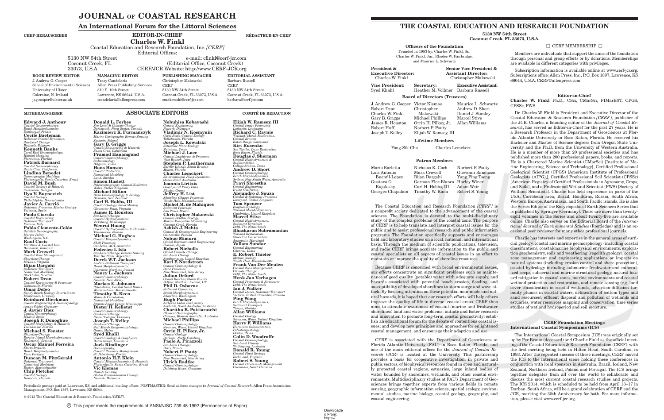## **THE COASTAL EDUCATION AND RESEARCH FOUNDATION**

**5130 NW 54th Street**

**Coconut Creek, FL 33073, U.S.A.**

#### **Officers of the Foundation**

Founded in 1983 by: Charles W. Finkl, Sr., Charles W. Finkl, Jnr., Rhodes W. Fairbridge, and Maurice L. Schwartz

| President &<br><b>Executive Director:</b><br>Charles W. Finkl |  | <b>Senior Vice President &amp;</b><br><b>Assistant Director:</b><br>Christopher Makowski |  |
|---------------------------------------------------------------|--|------------------------------------------------------------------------------------------|--|
|                                                               |  |                                                                                          |  |

Syed Khalil

**Secretary:** 

Heather M. Vollmer Barbara Russell **Executive Assistant:**

#### **Board of Directors (Trustees)**

| J. Andrew G. Cooper | Victor Klemas         | Maurice L. Schwartz |
|---------------------|-----------------------|---------------------|
| Robert Dean         | Christopher           | Andrew D. Short     |
| Charles W. Finkl    | Makowski              | Daniel J. Stanley   |
| Gary B. Griggs      | Michael Phillips      | Marcel Stive        |
| James R. Houston    | Orrin H. Pilkey, Jr.  | Allan Williams      |
| Robert Huff         | Norbert P. Psuty      |                     |
| Joseph T. Kelley    | Elijah W. Ramsey, III |                     |
|                     |                       |                     |

#### **Lifetime Members**

Yong-Sik Cho Charles Lemckert

#### **Patron Members**

| Mario Barletta    | Nicholas K. Coch   | Norbert P. Psuty    |
|-------------------|--------------------|---------------------|
| Luis Antonio      | Mark Crowell       | Giovanni Randazzo   |
| Buenfil-Lopez     | Bijan Dargahi      | Yung Ping Tseng     |
| Gustavo G.        | German Flor-Blanco | <b>Harley Winer</b> |
| Bujalesky         | Carl H. Hobbs, III | Adam Weir           |
| Georges Chapalain | Timothy W. Kana    | Robert S. Young     |
|                   |                    |                     |

The Coastal Education and Research Foundation *[CERF]* is a nonprofit society dedicated to the advancement of the coastal sciences. The Foundation is devoted to the multi-disciplinary study of the complex problems of the coastal zone. The purpose of CERF is to help translate and interpret coastal issues for the public and to assist professional research and public information programs. The Foundation specifically supports and encourages field and laboratory studies on a local, national, and international basis. Through the medium of scientific publications, television, and radio CERF brings accurate information to the public and coastal specialists on all aspects of coastal issues in an effort to maintain or improve the quality of shoreline resources.

Because CERF is concerned with broad environmental issues, our efforts concentrate on significant problems such as maintenance of good quality (potable) water with adequate supply, and hazards associated with potential beach erosion, flooding, and susceptibility of developed shorelines to storm surge and wave attack. By focusing attention on these potential man-made and natural hazards, it is hoped that our research efforts will help others improve the quality of life in diverse coastal areas. CERF thus aims to stimulate awareness of coastal (marine and freshwater shorelines) land and water problems; initiate and foster research and innovation to promote long-term coastal productivity; establish an educational forum for the debate of contentious coastal issues; and develop new principles and approaches for enlightened coastal management, and encourage their adoption and use.

CERF is associated with the Department of Geosciences at Florida Atlantic University (FAU) in Boca Raton, Florida, and one of the main editorial offices for the *Journal of Coastal Research* (JCR) is located at the University. This partnership provides a basis for cooperative investigation, in private and public sectors, of biophysical resources found in open and naturally protected coastal regions, estuaries, large inland bodies of water bounded by shorelines, wetlands, and other coastal environments. Multidisciplinary studies at FAU's Department of Geosciences brings together experts from various fields in remote sensing, geographic information science, spatial ecology, environmental studies, marine biology, coastal geology, geography, and coastal engineering.

### $\Box$  CERF MEMBERSHIP  $\Box$

Members are individuals that support the aims of the foundation through personal and group efforts or by donations. Memberships are available in different categories with privileges.

Subscription information is available online at www.cerf-jcr.org. Subscriptions office: Allen Press, Inc., P.O. Box 1897, Lawrence, KS 66044, U.S.A. CERF@allenpress.com

#### **Editor-in-Chief**

**Charles W. Finkl** Ph.D., CSci, CMarSci, FIMarEST, CPGS, CPSSc, PWS

Dr. Charles W. Finkl is President and Executive Director of the Coastal Education & Research Foundation *[CERF ]*, publisher of the JCR. Charlie, a founding editor of the *Journal of Coastal Research*, has served as Editor-in-Chief for the past 27 years. He is a Research Professor in the Department of Geosciences at Florida Atlantic University in Boca Raton, Florida. He received his Bachelor and Master of Science degrees from Oregon State University and the Ph.D. from the University of Western Australia. He is a member of more than 20 professional societies and has published more than 200 professional papers, books, and reports. He is a Chartered Marine Scientist (CMarSci) [Institute of Marine Engineering, Science and Technology], Certified Professional Geological Scientist (CPGS) [American Institute of Professional Geologists (AIPG),], Certified Professional Soil Scientist (CPSSc) [American Registry of Certified Professionals in Agronomy, Crops, and Soils], and a Professional Wetland Scientist (PWS) [Society of Wetland Scientists]. Charlie has field experience in parts of the USA, Caribbean area, Brazil, Honduras, Russia, South Africa, Western Europe, Australasia, and South Pacific islands. He is also the Series Editor of the Encyclopedia of Earth Sciences Series that is published by Springer (Germany). There are more than twentyeight volumes in the Series and about twenty-five are available online. Charlie also serves on the Editorial Board of the *International Journal of Environmental Studies* (Routledge) and is an occasional peer reviewer for many other professional journals.

Charlie has interests and expertise in the general areas of surficial geology, coastal and marine geomorphology (including coastal classification), coastal/marine biophysical environments, exploration geochemistry, soils and weathering (regolith geology), coastal zone management and engineering applications or impacts on natural systems (including erosion control and shore protection), coastal hydrology including submarine freshwater and mineralized seeps, subaerial and marine structural geology, natural hazard mitigation in coastal zones, marine environments and coastal wetland protection and restoration, and remote sensing (*e.g.* land cover classification in coastal wetlands, advection-diffusion turbidity plumes in coastal waters, delineation of bottom types and sand resources), effluent disposal and pollution of wetlands and estuaries, water resources mapping and conservation, time series studies of wetland hydroperiod and soil moisture.

#### **CERF Foundation Meetings International Coastal Symposiums (ICS)**

The International Coastal Symposium (ICS) was originally set up by Per Bruun (deceased) and Charlie Finkl as the official meeting of the Coastal Education & Research Foundation (CERF), with the first meeting being held in Hilton Head, South Carolina, in 1993. After the repeated success of these meetings, CERF moved the ICS to the international scene holding these conferences in conjunction with local sponsors in Australia, Brazil, Iceland, New Zealand, Northern Ireland, Poland and Portugal. The ICS brings together delegates from all over the world to collaborate and discuss the most current coastal research studies and projects. The ICS 2014, which is scheduled to be held from April 13–17 in Durban, South Africa, will be a grand celebration of CERF and the JCR, marking the 30th Anniversary for both. For more information, please visit www.cerf-jcr.org.